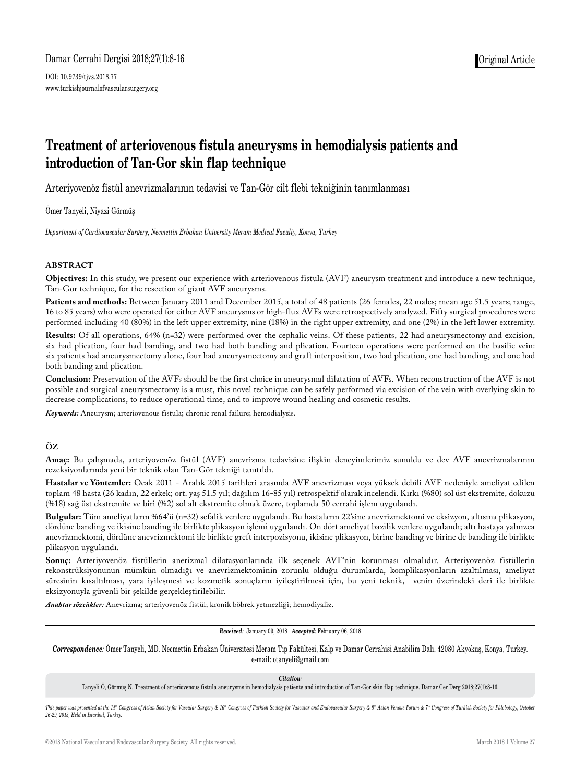# Damar Cerrahi Dergisi 2018;27(1):8-16

DOI: 10.9739/tjvs.2018.77 www.turkishjournalofvascularsurgery.org

# **Treatment of arteriovenous fistula aneurysms in hemodialysis patients and introduction of Tan-Gor skin flap technique**

Arteriyovenöz fistül anevrizmalarının tedavisi ve Tan-Gör cilt flebi tekniğinin tanımlanması

Ömer Tanyeli, Niyazi Görmüş

*Department of Cardiovascular Surgery, Necmettin Erbakan University Meram Medical Faculty, Konya, Turkey*

#### **ABSTRACT**

**Objectives:** In this study, we present our experience with arteriovenous fistula (AVF) aneurysm treatment and introduce a new technique, Tan-Gor technique, for the resection of giant AVF aneurysms.

Patients and methods: Between January 2011 and December 2015, a total of 48 patients (26 females, 22 males; mean age 51.5 years; range, 16 to 85 years) who were operated for either AVF aneurysms or high-flux AVFs were retrospectively analyzed. Fifty surgical procedures were performed including 40 (80%) in the left upper extremity, nine (18%) in the right upper extremity, and one (2%) in the left lower extremity.

**Results:** Of all operations, 64% (n=32) were performed over the cephalic veins. Of these patients, 22 had aneurysmectomy and excision, six had plication, four had banding, and two had both banding and plication. Fourteen operations were performed on the basilic vein: six patients had aneurysmectomy alone, four had aneurysmectomy and graft interposition, two had plication, one had banding, and one had both banding and plication.

**Conclusion:** Preservation of the AVFs should be the first choice in aneurysmal dilatation of AVFs. When reconstruction of the AVF is not possible and surgical aneurysmectomy is a must, this novel technique can be safely performed via excision of the vein with overlying skin to decrease complications, to reduce operational time, and to improve wound healing and cosmetic results.

*Keywords:* Aneurysm; arteriovenous fistula; chronic renal failure; hemodialysis.

#### **ÖZ**

**Amaç:** Bu çalışmada, arteriyovenöz fistül (AVF) anevrizma tedavisine ilişkin deneyimlerimiz sunuldu ve dev AVF anevrizmalarının rezeksiyonlarında yeni bir teknik olan Tan-Gör tekniği tanıtıldı.

**Hastalar ve Yöntemler:** Ocak 2011 - Aralık 2015 tarihleri arasında AVF anevrizması veya yüksek debili AVF nedeniyle ameliyat edilen toplam 48 hasta (26 kadın, 22 erkek; ort. yaş 51.5 yıl; dağılım 16-85 yıl) retrospektif olarak incelendi. Kırkı (%80) sol üst ekstremite, dokuzu (%18) sağ üst ekstremite ve biri (%2) sol alt ekstremite olmak üzere, toplamda 50 cerrahi işlem uygulandı.

**Bulgular:** Tüm ameliyatların %64'ü (n=32) sefalik venlere uygulandı. Bu hastaların 22'sine anevrizmektomi ve eksizyon, altısına plikasyon, dördüne banding ve ikisine banding ile birlikte plikasyon işlemi uygulandı. On dört ameliyat bazilik venlere uygulandı; altı hastaya yalnızca anevrizmektomi, dördüne anevrizmektomi ile birlikte greft interpozisyonu, ikisine plikasyon, birine banding ve birine de banding ile birlikte plikasyon uygulandı.

**Sonuç:** Arteriyovenöz fistüllerin anerizmal dilatasyonlarında ilk seçenek AVF'nin korunması olmalıdır. Arteriyovenöz fistüllerin rekonstrüksiyonunun mümkün olmadığı ve anevrizmektominin zorunlu olduğu durumlarda, komplikasyonların azaltılması, ameliyat süresinin kısaltılması, yara iyileşmesi ve kozmetik sonuçların iyileştirilmesi için, bu yeni teknik, venin üzerindeki deri ile birlikte eksizyonuyla güvenli bir şekilde gerçekleştirilebilir.

*Anahtar sözcükler:* Anevrizma; arteriyovenöz fistül; kronik böbrek yetmezliği; hemodiyaliz.

*Received:* January 09, 2018 *Accepted:* February 06, 2018

*Correspondence:* Ömer Tanyeli, MD. Necmettin Erbakan Üniversitesi Meram Tıp Fakültesi, Kalp ve Damar Cerrahisi Anabilim Dalı, 42080 Akyokuş, Konya, Turkey. e-mail: otanyeli@gmail.com

#### *Citation:*

Tanyeli Ö, Görmüş N. Treatment of arteriovenous fistula aneurysms in hemodialysis patients and introduction of Tan-Gor skin flap technique. Damar Cer Derg 2018;27(1):8-16.

This paper was presented at the 14th Congress of Asian Society for Vascular Surgery & 16th Congress of Turkish Society for Vascular and Endovascular Surgery & 8th Asian Venous Forum & 7th Congress of Turkish Society for Ph *26-29, 2013, Held in İstanbul, Turkey.*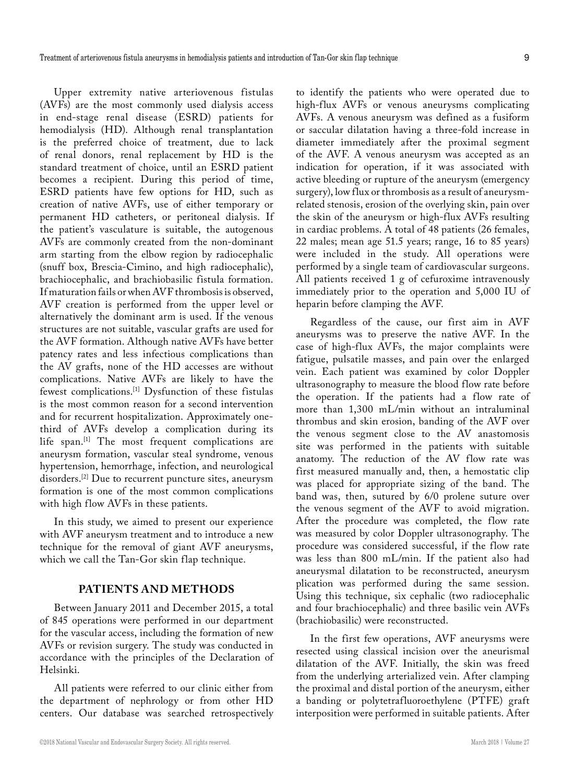Upper extremity native arteriovenous fistulas (AVFs) are the most commonly used dialysis access in end-stage renal disease (ESRD) patients for hemodialysis (HD). Although renal transplantation is the preferred choice of treatment, due to lack of renal donors, renal replacement by HD is the standard treatment of choice, until an ESRD patient becomes a recipient. During this period of time, ESRD patients have few options for HD, such as creation of native AVFs, use of either temporary or permanent HD catheters, or peritoneal dialysis. If the patient's vasculature is suitable, the autogenous AVFs are commonly created from the non-dominant arm starting from the elbow region by radiocephalic (snuff box, Brescia-Cimino, and high radiocephalic), brachiocephalic, and brachiobasilic fistula formation. If maturation fails or when AVF thrombosis is observed, AVF creation is performed from the upper level or alternatively the dominant arm is used. If the venous structures are not suitable, vascular grafts are used for the AVF formation. Although native AVFs have better patency rates and less infectious complications than the AV grafts, none of the HD accesses are without complications. Native AVFs are likely to have the fewest complications.[1] Dysfunction of these fistulas is the most common reason for a second intervention and for recurrent hospitalization. Approximately onethird of AVFs develop a complication during its life span.[1] The most frequent complications are aneurysm formation, vascular steal syndrome, venous hypertension, hemorrhage, infection, and neurological disorders.[2] Due to recurrent puncture sites, aneurysm formation is one of the most common complications with high flow AVFs in these patients.

In this study, we aimed to present our experience with AVF aneurysm treatment and to introduce a new technique for the removal of giant AVF aneurysms, which we call the Tan-Gor skin flap technique.

# **PATIENTS AND METHODS**

Between January 2011 and December 2015, a total of 845 operations were performed in our department for the vascular access, including the formation of new AVFs or revision surgery. The study was conducted in accordance with the principles of the Declaration of Helsinki.

All patients were referred to our clinic either from the department of nephrology or from other HD centers. Our database was searched retrospectively to identify the patients who were operated due to high-flux AVFs or venous aneurysms complicating AVFs. A venous aneurysm was defined as a fusiform or saccular dilatation having a three-fold increase in diameter immediately after the proximal segment of the AVF. A venous aneurysm was accepted as an indication for operation, if it was associated with active bleeding or rupture of the aneurysm (emergency surgery), low flux or thrombosis as a result of aneurysmrelated stenosis, erosion of the overlying skin, pain over the skin of the aneurysm or high-flux AVFs resulting in cardiac problems. A total of 48 patients (26 females, 22 males; mean age 51.5 years; range, 16 to 85 years) were included in the study. All operations were performed by a single team of cardiovascular surgeons. All patients received 1 g of cefuroxime intravenously immediately prior to the operation and 5,000 IU of heparin before clamping the AVF.

Regardless of the cause, our first aim in AVF aneurysms was to preserve the native AVF. In the case of high-flux AVFs, the major complaints were fatigue, pulsatile masses, and pain over the enlarged vein. Each patient was examined by color Doppler ultrasonography to measure the blood flow rate before the operation. If the patients had a flow rate of more than 1,300 mL/min without an intraluminal thrombus and skin erosion, banding of the AVF over the venous segment close to the AV anastomosis site was performed in the patients with suitable anatomy. The reduction of the AV flow rate was first measured manually and, then, a hemostatic clip was placed for appropriate sizing of the band. The band was, then, sutured by 6/0 prolene suture over the venous segment of the AVF to avoid migration. After the procedure was completed, the flow rate was measured by color Doppler ultrasonography. The procedure was considered successful, if the flow rate was less than 800 mL/min. If the patient also had aneurysmal dilatation to be reconstructed, aneurysm plication was performed during the same session. Using this technique, six cephalic (two radiocephalic and four brachiocephalic) and three basilic vein AVFs (brachiobasilic) were reconstructed.

In the first few operations, AVF aneurysms were resected using classical incision over the aneurismal dilatation of the AVF. Initially, the skin was freed from the underlying arterialized vein. After clamping the proximal and distal portion of the aneurysm, either a banding or polytetrafluoroethylene (PTFE) graft interposition were performed in suitable patients. After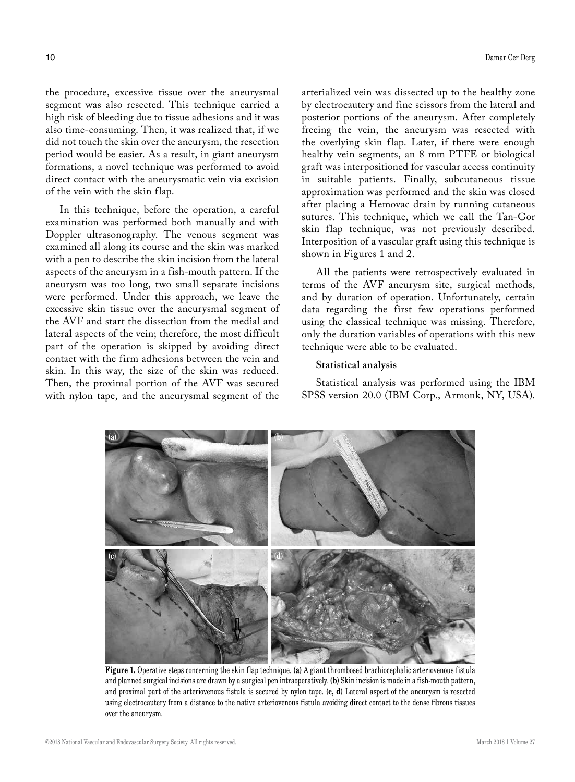the procedure, excessive tissue over the aneurysmal segment was also resected. This technique carried a high risk of bleeding due to tissue adhesions and it was also time-consuming. Then, it was realized that, if we did not touch the skin over the aneurysm, the resection period would be easier. As a result, in giant aneurysm formations, a novel technique was performed to avoid direct contact with the aneurysmatic vein via excision of the vein with the skin flap.

In this technique, before the operation, a careful examination was performed both manually and with Doppler ultrasonography. The venous segment was examined all along its course and the skin was marked with a pen to describe the skin incision from the lateral aspects of the aneurysm in a fish-mouth pattern. If the aneurysm was too long, two small separate incisions were performed. Under this approach, we leave the excessive skin tissue over the aneurysmal segment of the AVF and start the dissection from the medial and lateral aspects of the vein; therefore, the most difficult part of the operation is skipped by avoiding direct contact with the firm adhesions between the vein and skin. In this way, the size of the skin was reduced. Then, the proximal portion of the AVF was secured with nylon tape, and the aneurysmal segment of the

arterialized vein was dissected up to the healthy zone by electrocautery and fine scissors from the lateral and posterior portions of the aneurysm. After completely freeing the vein, the aneurysm was resected with the overlying skin flap. Later, if there were enough healthy vein segments, an 8 mm PTFE or biological graft was interpositioned for vascular access continuity in suitable patients. Finally, subcutaneous tissue approximation was performed and the skin was closed after placing a Hemovac drain by running cutaneous sutures. This technique, which we call the Tan-Gor skin flap technique, was not previously described. Interposition of a vascular graft using this technique is shown in Figures 1 and 2.

All the patients were retrospectively evaluated in terms of the AVF aneurysm site, surgical methods, and by duration of operation. Unfortunately, certain data regarding the first few operations performed using the classical technique was missing. Therefore, only the duration variables of operations with this new technique were able to be evaluated.

#### **Statistical analysis**

Statistical analysis was performed using the IBM SPSS version 20.0 (IBM Corp., Armonk, NY, USA).



**Figure 1.** Operative steps concerning the skin flap technique. **(a)** A giant thrombosed brachiocephalic arteriovenous fistula and planned surgical incisions are drawn by a surgical pen intraoperatively. **(b)** Skin incision is made in a fish-mouth pattern, and proximal part of the arteriovenous fistula is secured by nylon tape. **(c, d)** Lateral aspect of the aneurysm is resected using electrocautery from a distance to the native arteriovenous fistula avoiding direct contact to the dense fibrous tissues over the aneurysm.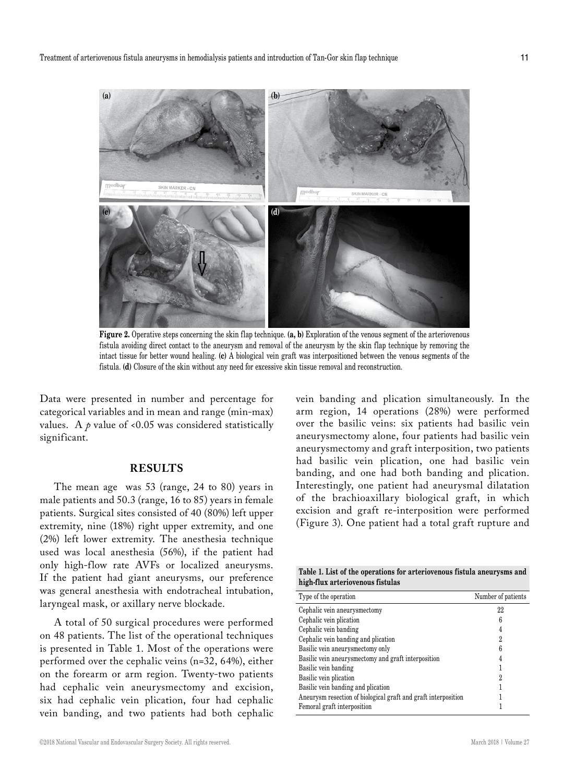

**Figure 2.** Operative steps concerning the skin flap technique. **(a, b)** Exploration of the venous segment of the arteriovenous fistula avoiding direct contact to the aneurysm and removal of the aneurysm by the skin flap technique by removing the intact tissue for better wound healing. **(c)** A biological vein graft was interpositioned between the venous segments of the fistula. **(d)** Closure of the skin without any need for excessive skin tissue removal and reconstruction.

Data were presented in number and percentage for categorical variables and in mean and range (min-max) values. A  $\rho$  value of <0.05 was considered statistically significant.

### **RESULTS**

The mean age was 53 (range, 24 to 80) years in male patients and 50.3 (range, 16 to 85) years in female patients. Surgical sites consisted of 40 (80%) left upper extremity, nine (18%) right upper extremity, and one (2%) left lower extremity. The anesthesia technique used was local anesthesia (56%), if the patient had only high-flow rate AVFs or localized aneurysms. If the patient had giant aneurysms, our preference was general anesthesia with endotracheal intubation, laryngeal mask, or axillary nerve blockade.

A total of 50 surgical procedures were performed on 48 patients. The list of the operational techniques is presented in Table 1. Most of the operations were performed over the cephalic veins (n=32, 64%), either on the forearm or arm region. Twenty-two patients had cephalic vein aneurysmectomy and excision, six had cephalic vein plication, four had cephalic vein banding, and two patients had both cephalic

vein banding and plication simultaneously. In the arm region, 14 operations (28%) were performed over the basilic veins: six patients had basilic vein aneurysmectomy alone, four patients had basilic vein aneurysmectomy and graft interposition, two patients had basilic vein plication, one had basilic vein banding, and one had both banding and plication. Interestingly, one patient had aneurysmal dilatation of the brachioaxillary biological graft, in which excision and graft re-interposition were performed (Figure 3). One patient had a total graft rupture and

**Table 1. List of the operations for arteriovenous fistula aneurysms and high-flux arteriovenous fistulas**

| Type of the operation                                          | Number of patients |
|----------------------------------------------------------------|--------------------|
| Cephalic vein aneurysmectomy                                   | 22                 |
| Cephalic vein plication                                        | 6                  |
| Cephalic vein banding                                          |                    |
| Cephalic vein banding and plication                            | 2                  |
| Basilic vein aneurysmectomy only                               | 6                  |
| Basilic vein aneurysmectomy and graft interposition            |                    |
| Basilic vein banding                                           |                    |
| Basilic vein plication                                         | 2                  |
| Basilic vein banding and plication                             |                    |
| Aneurysm resection of biological graft and graft interposition |                    |
| Femoral graft interposition                                    |                    |
|                                                                |                    |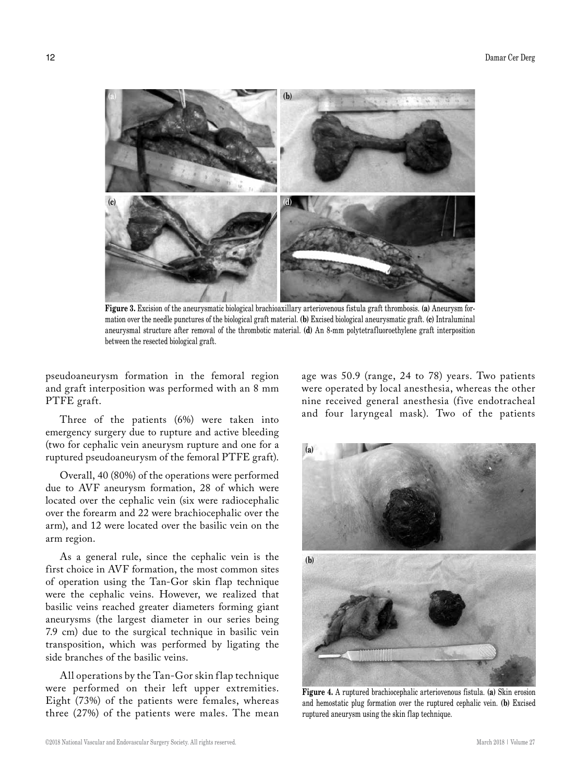

**Figure 3.** Excision of the aneurysmatic biological brachioaxillary arteriovenous fistula graft thrombosis. **(a)** Aneurysm formation over the needle punctures of the biological graft material. **(b)** Excised biological aneurysmatic graft. **(c)** Intraluminal aneurysmal structure after removal of the thrombotic material. **(d)** An 8-mm polytetrafluoroethylene graft interposition between the resected biological graft.

pseudoaneurysm formation in the femoral region and graft interposition was performed with an 8 mm PTFE graft.

Three of the patients (6%) were taken into emergency surgery due to rupture and active bleeding (two for cephalic vein aneurysm rupture and one for a ruptured pseudoaneurysm of the femoral PTFE graft).

Overall, 40 (80%) of the operations were performed due to AVF aneurysm formation, 28 of which were located over the cephalic vein (six were radiocephalic over the forearm and 22 were brachiocephalic over the arm), and 12 were located over the basilic vein on the arm region.

As a general rule, since the cephalic vein is the first choice in AVF formation, the most common sites of operation using the Tan-Gor skin flap technique were the cephalic veins. However, we realized that basilic veins reached greater diameters forming giant aneurysms (the largest diameter in our series being 7.9 cm) due to the surgical technique in basilic vein transposition, which was performed by ligating the side branches of the basilic veins.

All operations by the Tan-Gor skin flap technique were performed on their left upper extremities. Eight (73%) of the patients were females, whereas three (27%) of the patients were males. The mean age was 50.9 (range, 24 to 78) years. Two patients were operated by local anesthesia, whereas the other nine received general anesthesia (five endotracheal and four laryngeal mask). Two of the patients



**Figure 4.** A ruptured brachiocephalic arteriovenous fistula. **(a)** Skin erosion and hemostatic plug formation over the ruptured cephalic vein. **(b)** Excised ruptured aneurysm using the skin flap technique.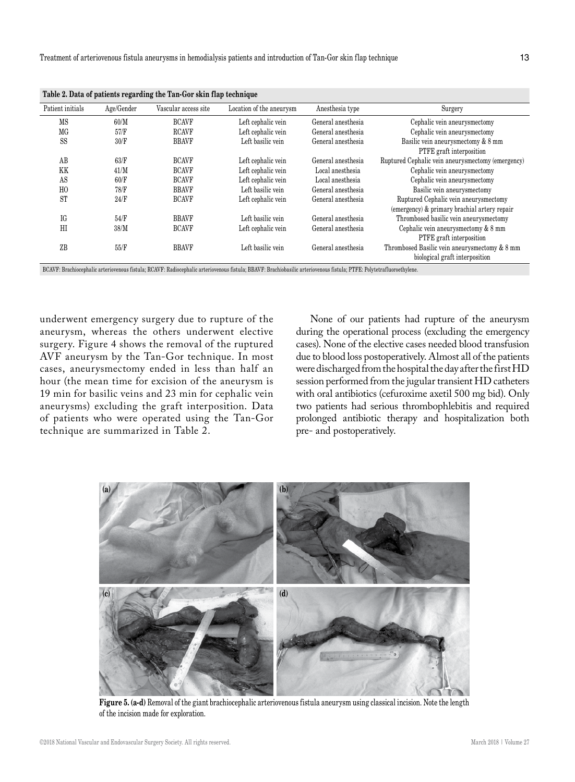| Table 2. Data of patients regarding the Tan-Gor skin Hap technique |            |                      |                          |                    |                                                                                                |
|--------------------------------------------------------------------|------------|----------------------|--------------------------|--------------------|------------------------------------------------------------------------------------------------|
| Patient initials                                                   | Age/Gender | Vascular access site | Location of the aneurysm | Anesthesia type    | Surgery                                                                                        |
| MS                                                                 | 60/M       | <b>BCAVF</b>         | Left cephalic vein       | General anesthesia | Cephalic vein aneurysmectomy                                                                   |
| MG                                                                 | 57/F       | <b>RCAVF</b>         | Left cephalic vein       | General anesthesia | Cephalic vein aneurysmectomy                                                                   |
| SS                                                                 | 30/F       | <b>BBAVF</b>         | Left basilic vein        | General anesthesia | Basilic vein aneurysmectomy & 8 mm<br><b>PTFE</b> graft interposition                          |
| AB                                                                 | 63/F       | <b>BCAVF</b>         | Left cephalic vein       | General anesthesia | Ruptured Cephalic vein aneurysmectomy (emergency)                                              |
| KK                                                                 | 41/M       | <b>BCAVF</b>         | Left cephalic vein       | Local anesthesia   | Cephalic vein aneurysmectomy                                                                   |
| AS                                                                 | 60/F       | <b>BCAVF</b>         | Left cephalic vein       | Local anesthesia   | Cephalic vein aneurysmectomy                                                                   |
| HO                                                                 | 78/F       | <b>BBAVF</b>         | Left basilic vein        | General anesthesia | Basilic vein aneurysmectomy                                                                    |
| <b>ST</b>                                                          | 24/F       | <b>BCAVF</b>         | Left cephalic vein       | General anesthesia | Ruptured Cephalic vein aneurysmectomy<br>(emergency) & primary brachial artery repair          |
| IG                                                                 | 54/F       | <b>BBAVF</b>         | Left basilic vein        | General anesthesia | Thrombosed basilic vein aneurysmectomy                                                         |
| HI                                                                 | 38/M       | <b>BCAVF</b>         | Left cephalic vein       | General anesthesia | Cephalic vein aneurysmectomy & 8 mm<br>PTFE graft interposition                                |
| ZB                                                                 | 55/F       | <b>BBAVF</b>         | Left basilic vein        | General anesthesia | Thrombosed Basilic vein an<br>eurysmectomy & $8~\mathrm{mm}$<br>biological graft interposition |

**Table 2. Data of patients regarding the Tan-Gor skin flap technique**

BCAVF: Brachiocephalic arteriovenous fistula; RCAVF: Radiocephalic arteriovenous fistula; BBAVF: Brachiobasilic arteriovenous fistula; PTFE: Polytetrafluoroethylene.

underwent emergency surgery due to rupture of the aneurysm, whereas the others underwent elective surgery. Figure 4 shows the removal of the ruptured AVF aneurysm by the Tan-Gor technique. In most cases, aneurysmectomy ended in less than half an hour (the mean time for excision of the aneurysm is 19 min for basilic veins and 23 min for cephalic vein aneurysms) excluding the graft interposition. Data of patients who were operated using the Tan-Gor technique are summarized in Table 2.

None of our patients had rupture of the aneurysm during the operational process (excluding the emergency cases). None of the elective cases needed blood transfusion due to blood loss postoperatively. Almost all of the patients were discharged from the hospital the day after the first HD session performed from the jugular transient HD catheters with oral antibiotics (cefuroxime axetil 500 mg bid). Only two patients had serious thrombophlebitis and required prolonged antibiotic therapy and hospitalization both pre- and postoperatively.



**Figure 5. (a-d)** Removal of the giant brachiocephalic arteriovenous fistula aneurysm using classical incision. Note the length of the incision made for exploration.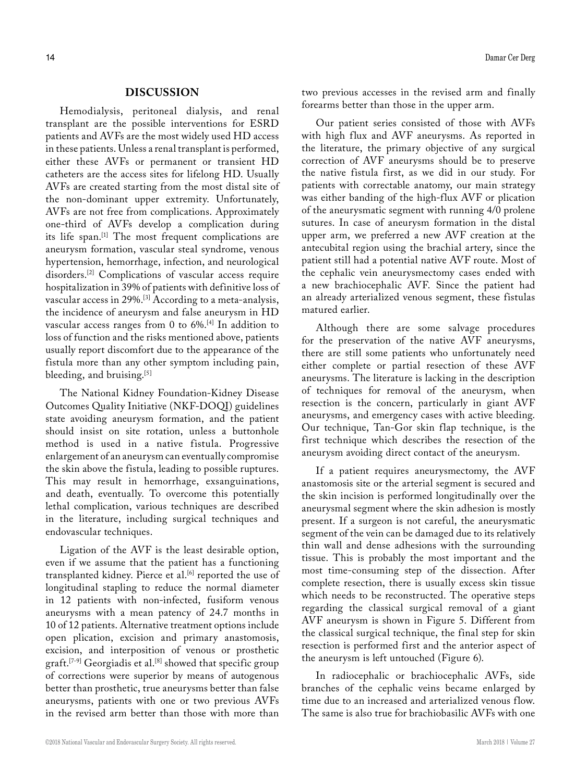## **DISCUSSION**

Hemodialysis, peritoneal dialysis, and renal transplant are the possible interventions for ESRD patients and AVFs are the most widely used HD access in these patients. Unless a renal transplant is performed, either these AVFs or permanent or transient HD catheters are the access sites for lifelong HD. Usually AVFs are created starting from the most distal site of the non-dominant upper extremity. Unfortunately, AVFs are not free from complications. Approximately one-third of AVFs develop a complication during its life span.[1] The most frequent complications are aneurysm formation, vascular steal syndrome, venous hypertension, hemorrhage, infection, and neurological disorders.[2] Complications of vascular access require hospitalization in 39% of patients with definitive loss of vascular access in 29%.[3] According to a meta-analysis, the incidence of aneurysm and false aneurysm in HD vascular access ranges from 0 to 6%.[4] In addition to loss of function and the risks mentioned above, patients usually report discomfort due to the appearance of the fistula more than any other symptom including pain, bleeding, and bruising.<sup>[5]</sup>

The National Kidney Foundation-Kidney Disease Outcomes Quality Initiative (NKF-DOQI) guidelines state avoiding aneurysm formation, and the patient should insist on site rotation, unless a buttonhole method is used in a native fistula. Progressive enlargement of an aneurysm can eventually compromise the skin above the fistula, leading to possible ruptures. This may result in hemorrhage, exsanguinations, and death, eventually. To overcome this potentially lethal complication, various techniques are described in the literature, including surgical techniques and endovascular techniques.

Ligation of the AVF is the least desirable option, even if we assume that the patient has a functioning transplanted kidney. Pierce et al.<sup>[6]</sup> reported the use of longitudinal stapling to reduce the normal diameter in 12 patients with non-infected, fusiform venous aneurysms with a mean patency of 24.7 months in 10 of 12 patients. Alternative treatment options include open plication, excision and primary anastomosis, excision, and interposition of venous or prosthetic graft.<sup>[7-9]</sup> Georgiadis et al.<sup>[8]</sup> showed that specific group of corrections were superior by means of autogenous better than prosthetic, true aneurysms better than false aneurysms, patients with one or two previous AVFs in the revised arm better than those with more than

two previous accesses in the revised arm and finally forearms better than those in the upper arm.

Our patient series consisted of those with AVFs with high flux and AVF aneurysms. As reported in the literature, the primary objective of any surgical correction of AVF aneurysms should be to preserve the native fistula first, as we did in our study. For patients with correctable anatomy, our main strategy was either banding of the high-flux AVF or plication of the aneurysmatic segment with running 4/0 prolene sutures. In case of aneurysm formation in the distal upper arm, we preferred a new AVF creation at the antecubital region using the brachial artery, since the patient still had a potential native AVF route. Most of the cephalic vein aneurysmectomy cases ended with a new brachiocephalic AVF. Since the patient had an already arterialized venous segment, these fistulas matured earlier.

Although there are some salvage procedures for the preservation of the native AVF aneurysms, there are still some patients who unfortunately need either complete or partial resection of these AVF aneurysms. The literature is lacking in the description of techniques for removal of the aneurysm, when resection is the concern, particularly in giant AVF aneurysms, and emergency cases with active bleeding. Our technique, Tan-Gor skin flap technique, is the first technique which describes the resection of the aneurysm avoiding direct contact of the aneurysm.

If a patient requires aneurysmectomy, the AVF anastomosis site or the arterial segment is secured and the skin incision is performed longitudinally over the aneurysmal segment where the skin adhesion is mostly present. If a surgeon is not careful, the aneurysmatic segment of the vein can be damaged due to its relatively thin wall and dense adhesions with the surrounding tissue. This is probably the most important and the most time-consuming step of the dissection. After complete resection, there is usually excess skin tissue which needs to be reconstructed. The operative steps regarding the classical surgical removal of a giant AVF aneurysm is shown in Figure 5. Different from the classical surgical technique, the final step for skin resection is performed first and the anterior aspect of the aneurysm is left untouched (Figure 6).

In radiocephalic or brachiocephalic AVFs, side branches of the cephalic veins became enlarged by time due to an increased and arterialized venous flow. The same is also true for brachiobasilic AVFs with one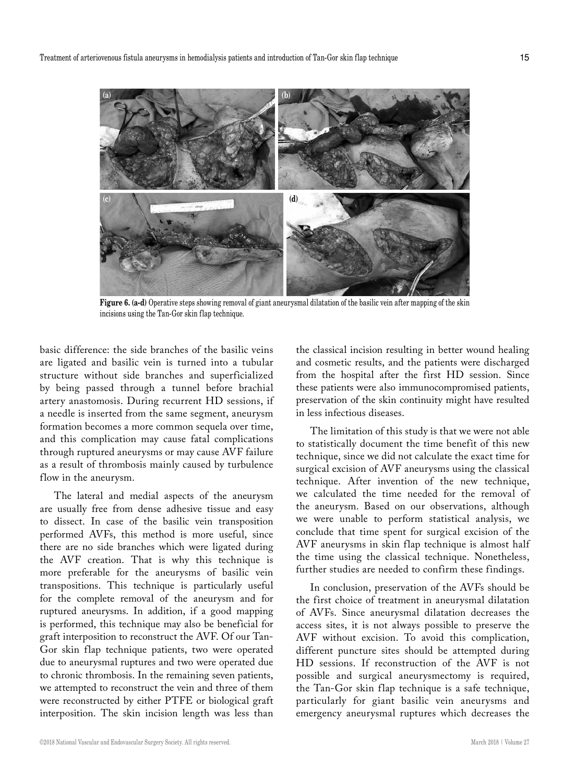

**Figure 6. (a-d)** Operative steps showing removal of giant aneurysmal dilatation of the basilic vein after mapping of the skin incisions using the Tan-Gor skin flap technique.

basic difference: the side branches of the basilic veins are ligated and basilic vein is turned into a tubular structure without side branches and superficialized by being passed through a tunnel before brachial artery anastomosis. During recurrent HD sessions, if a needle is inserted from the same segment, aneurysm formation becomes a more common sequela over time, and this complication may cause fatal complications through ruptured aneurysms or may cause AVF failure as a result of thrombosis mainly caused by turbulence flow in the aneurysm.

The lateral and medial aspects of the aneurysm are usually free from dense adhesive tissue and easy to dissect. In case of the basilic vein transposition performed AVFs, this method is more useful, since there are no side branches which were ligated during the AVF creation. That is why this technique is more preferable for the aneurysms of basilic vein transpositions. This technique is particularly useful for the complete removal of the aneurysm and for ruptured aneurysms. In addition, if a good mapping is performed, this technique may also be beneficial for graft interposition to reconstruct the AVF. Of our Tan-Gor skin flap technique patients, two were operated due to aneurysmal ruptures and two were operated due to chronic thrombosis. In the remaining seven patients, we attempted to reconstruct the vein and three of them were reconstructed by either PTFE or biological graft interposition. The skin incision length was less than

the classical incision resulting in better wound healing and cosmetic results, and the patients were discharged from the hospital after the first HD session. Since these patients were also immunocompromised patients, preservation of the skin continuity might have resulted in less infectious diseases.

The limitation of this study is that we were not able to statistically document the time benefit of this new technique, since we did not calculate the exact time for surgical excision of AVF aneurysms using the classical technique. After invention of the new technique, we calculated the time needed for the removal of the aneurysm. Based on our observations, although we were unable to perform statistical analysis, we conclude that time spent for surgical excision of the AVF aneurysms in skin flap technique is almost half the time using the classical technique. Nonetheless, further studies are needed to confirm these findings.

In conclusion, preservation of the AVFs should be the first choice of treatment in aneurysmal dilatation of AVFs. Since aneurysmal dilatation decreases the access sites, it is not always possible to preserve the AVF without excision. To avoid this complication, different puncture sites should be attempted during HD sessions. If reconstruction of the AVF is not possible and surgical aneurysmectomy is required, the Tan-Gor skin flap technique is a safe technique, particularly for giant basilic vein aneurysms and emergency aneurysmal ruptures which decreases the